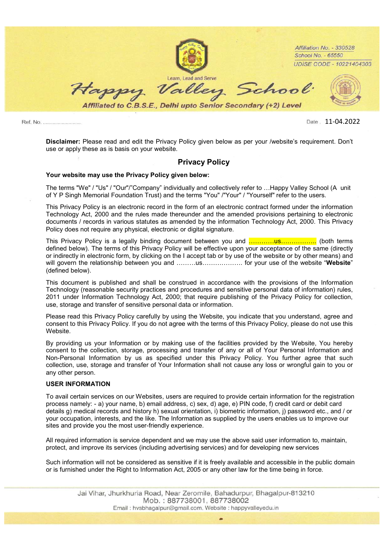

Ref. No. .........................

11-04.2022Date

Disclaimer: Please read and edit the Privacy Policy given below as per your /website's requirement. Don't use or apply these as is basis on your website.

# Privacy Policy

## Your website may use the Privacy Policy given below:

The terms "We" / "Us" / "Our"/"Company" individually and collectively refer to …Happy Valley School (A unit of Y P Singh Memorial Foundation Trust) and the terms "You" /"Your" / "Yourself" refer to the users.

This Privacy Policy is an electronic record in the form of an electronic contract formed under the information Technology Act, 2000 and the rules made thereunder and the amended provisions pertaining to electronic documents / records in various statutes as amended by the information Technology Act, 2000. This Privacy Policy does not require any physical, electronic or digital signature.

This Privacy Policy is a legally binding document between you and …………us…………….. (both terms defined below). The terms of this Privacy Policy will be effective upon your acceptance of the same (directly or indirectly in electronic form, by clicking on the I accept tab or by use of the website or by other means) and will govern the relationship between you and ………us………………… for your use of the website "Website" (defined below).

This document is published and shall be construed in accordance with the provisions of the Information Technology (reasonable security practices and procedures and sensitive personal data of information) rules, 2011 under Information Technology Act, 2000; that require publishing of the Privacy Policy for collection, use, storage and transfer of sensitive personal data or information.

Please read this Privacy Policy carefully by using the Website, you indicate that you understand, agree and consent to this Privacy Policy. If you do not agree with the terms of this Privacy Policy, please do not use this Website.

By providing us your Information or by making use of the facilities provided by the Website, You hereby consent to the collection, storage, processing and transfer of any or all of Your Personal Information and Non-Personal Information by us as specified under this Privacy Policy. You further agree that such collection, use, storage and transfer of Your Information shall not cause any loss or wrongful gain to you or any other person.

#### USER INFORMATION

To avail certain services on our Websites, users are required to provide certain information for the registration process namely: - a) your name, b) email address, c) sex, d) age, e) PIN code, f) credit card or debit card details g) medical records and history h) sexual orientation, i) biometric information, j) password etc., and / or your occupation, interests, and the like. The Information as supplied by the users enables us to improve our sites and provide you the most user-friendly experience.

All required information is service dependent and we may use the above said user information to, maintain, protect, and improve its services (including advertising services) and for developing new services

Such information will not be considered as sensitive if it is freely available and accessible in the public domain or is furnished under the Right to Information Act, 2005 or any other law for the time being in force.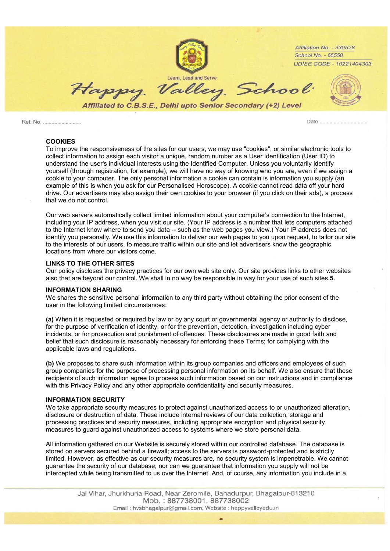

Date

### COOKIES

To improve the responsiveness of the sites for our users, we may use "cookies", or similar electronic tools to collect information to assign each visitor a unique, random number as a User Identification (User ID) to understand the user's individual interests using the Identified Computer. Unless you voluntarily identify yourself (through registration, for example), we will have no way of knowing who you are, even if we assign a cookie to your computer. The only personal information a cookie can contain is information you supply (an example of this is when you ask for our Personalised Horoscope). A cookie cannot read data off your hard drive. Our advertisers may also assign their own cookies to your browser (if you click on their ads), a process that we do not control.

Our web servers automatically collect limited information about your computer's connection to the Internet, including your IP address, when you visit our site. (Your IP address is a number that lets computers attached to the Internet know where to send you data -- such as the web pages you view.) Your IP address does not identify you personally. We use this information to deliver our web pages to you upon request, to tailor our site to the interests of our users, to measure traffic within our site and let advertisers know the geographic locations from where our visitors come.

## LINKS TO THE OTHER SITES

Our policy discloses the privacy practices for our own web site only. Our site provides links to other websites also that are beyond our control. We shall in no way be responsible in way for your use of such sites.5.

#### INFORMATION SHARING

We shares the sensitive personal information to any third party without obtaining the prior consent of the user in the following limited circumstances:

(a) When it is requested or required by law or by any court or governmental agency or authority to disclose, for the purpose of verification of identity, or for the prevention, detection, investigation including cyber incidents, or for prosecution and punishment of offences. These disclosures are made in good faith and belief that such disclosure is reasonably necessary for enforcing these Terms; for complying with the applicable laws and regulations.

(b) We proposes to share such information within its group companies and officers and employees of such group companies for the purpose of processing personal information on its behalf. We also ensure that these recipients of such information agree to process such information based on our instructions and in compliance with this Privacy Policy and any other appropriate confidentiality and security measures.

#### INFORMATION SECURITY

We take appropriate security measures to protect against unauthorized access to or unauthorized alteration, disclosure or destruction of data. These include internal reviews of our data collection, storage and processing practices and security measures, including appropriate encryption and physical security measures to guard against unauthorized access to systems where we store personal data.

All information gathered on our Website is securely stored within our controlled database. The database is stored on servers secured behind a firewall; access to the servers is password-protected and is strictly limited. However, as effective as our security measures are, no security system is impenetrable. We cannot guarantee the security of our database, nor can we guarantee that information you supply will not be intercepted while being transmitted to us over the Internet. And, of course, any information you include in a